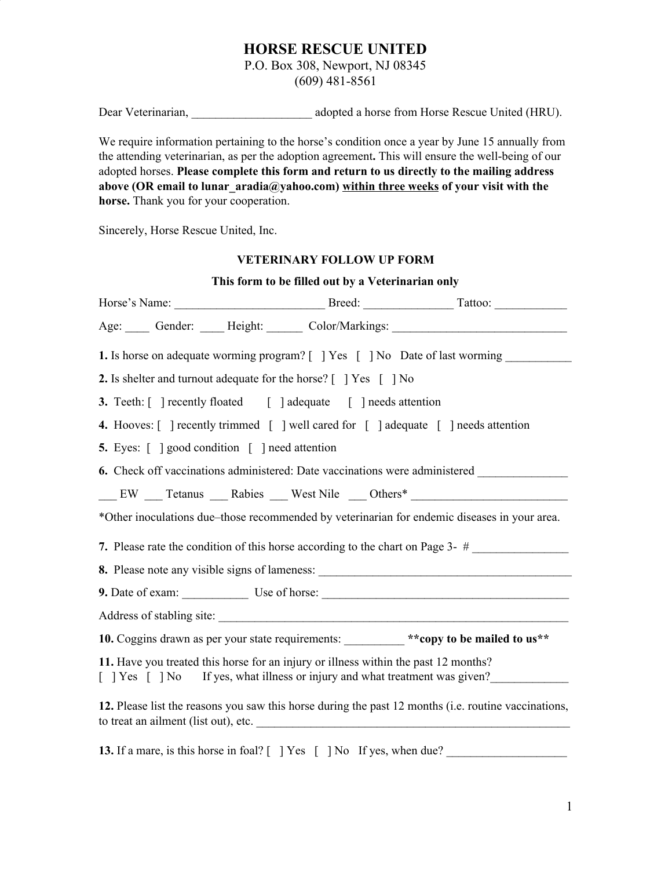## **HORSE RESCUE UNITED**

P.O. Box 308, Newport, NJ 08345

(609) 481-8561

Dear Veterinarian, and adopted a horse from Horse Rescue United (HRU).

We require information pertaining to the horse's condition once a year by June 15 annually from the attending veterinarian, as per the adoption agreement**.** This will ensure the well-being of our adopted horses. **Please complete this form and return to us directly to the mailing address above (OR email to lunar\_aradia@yahoo.com) within three weeks of your visit with the horse.** Thank you for your cooperation.

Sincerely, Horse Rescue United, Inc.

## **VETERINARY FOLLOW UP FORM**

| This form to be filled out by a Veterinarian only                                                                                                                  |  |  |  |  |  |  |  |  |
|--------------------------------------------------------------------------------------------------------------------------------------------------------------------|--|--|--|--|--|--|--|--|
|                                                                                                                                                                    |  |  |  |  |  |  |  |  |
| Age: Gender: Height: Color/Markings: Color/Markings: Color/Markings: Color/Markings: Color/Markings: Color                                                         |  |  |  |  |  |  |  |  |
| <b>1.</b> Is horse on adequate worming program? [ ] Yes [ ] No Date of last worming                                                                                |  |  |  |  |  |  |  |  |
| 2. Is shelter and turnout adequate for the horse? [ ] Yes [ ] No                                                                                                   |  |  |  |  |  |  |  |  |
| <b>3.</b> Teeth: $\lceil \cdot \rceil$ recently floated $\lceil \cdot \rceil$ adequate $\lceil \cdot \rceil$ needs attention                                       |  |  |  |  |  |  |  |  |
| 4. Hooves: [ ] recently trimmed [ ] well cared for [ ] adequate [ ] needs attention                                                                                |  |  |  |  |  |  |  |  |
| <b>5.</b> Eyes: [ ] good condition [ ] need attention                                                                                                              |  |  |  |  |  |  |  |  |
| 6. Check off vaccinations administered: Date vaccinations were administered                                                                                        |  |  |  |  |  |  |  |  |
| EW Tetanus Rabies West Nile Others*                                                                                                                                |  |  |  |  |  |  |  |  |
| *Other inoculations due–those recommended by veterinarian for endemic diseases in your area.                                                                       |  |  |  |  |  |  |  |  |
|                                                                                                                                                                    |  |  |  |  |  |  |  |  |
|                                                                                                                                                                    |  |  |  |  |  |  |  |  |
| 9. Date of exam: Use of horse: Use of horse:                                                                                                                       |  |  |  |  |  |  |  |  |
|                                                                                                                                                                    |  |  |  |  |  |  |  |  |
| 10. Coggins drawn as per your state requirements: _________ ** copy to be mailed to us**                                                                           |  |  |  |  |  |  |  |  |
| 11. Have you treated this horse for an injury or illness within the past 12 months?<br>[ ] Yes [ ] No If yes, what illness or injury and what treatment was given? |  |  |  |  |  |  |  |  |
| 12. Please list the reasons you saw this horse during the past 12 months (i.e. routine vaccinations,<br>to treat an ailment (list out), etc.                       |  |  |  |  |  |  |  |  |

**13.** If a mare, is this horse in foal? [ ] Yes [ ] No If yes, when due?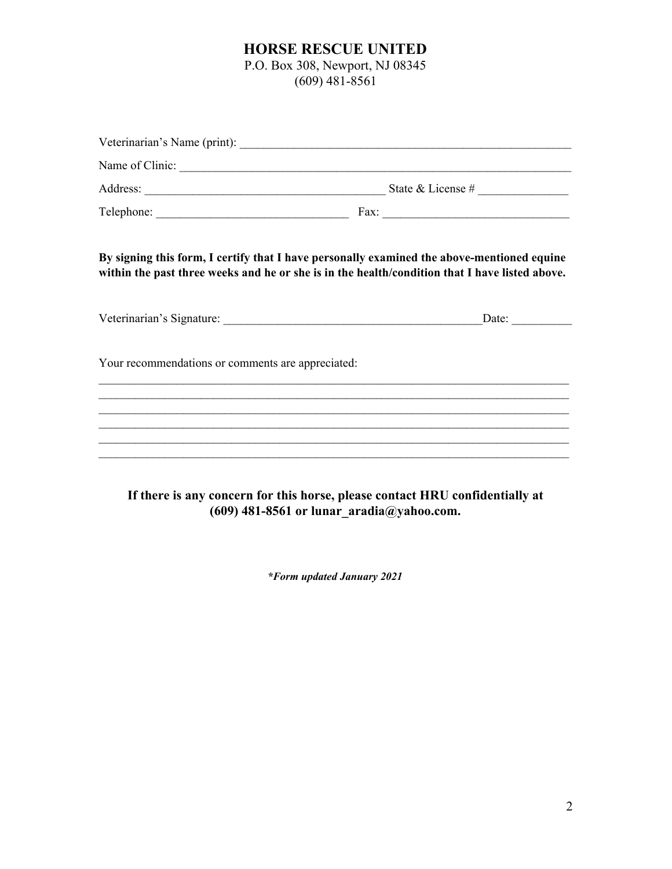## **HORSE RESCUE UNITED**

P.O. Box 308, Newport, NJ 08345

(609) 481-8561

|                                                   | Name of Clinic:                                                                                                                                                                              |
|---------------------------------------------------|----------------------------------------------------------------------------------------------------------------------------------------------------------------------------------------------|
|                                                   |                                                                                                                                                                                              |
|                                                   |                                                                                                                                                                                              |
|                                                   | By signing this form, I certify that I have personally examined the above-mentioned equine<br>within the past three weeks and he or she is in the health/condition that I have listed above. |
|                                                   | Date: $\qquad \qquad$                                                                                                                                                                        |
| Your recommendations or comments are appreciated: |                                                                                                                                                                                              |
|                                                   | ,我们也不会有什么。""我们的人,我们也不会有什么?""我们的人,我们也不会有什么?""我们的人,我们也不会有什么?""我们的人,我们也不会有什么?""我们的人                                                                                                             |
|                                                   |                                                                                                                                                                                              |
|                                                   |                                                                                                                                                                                              |

**If there is any concern for this horse, please contact HRU confidentially at (609) 481-8561 or lunar\_aradia@yahoo.com.**

*\*Form updated January 2021*